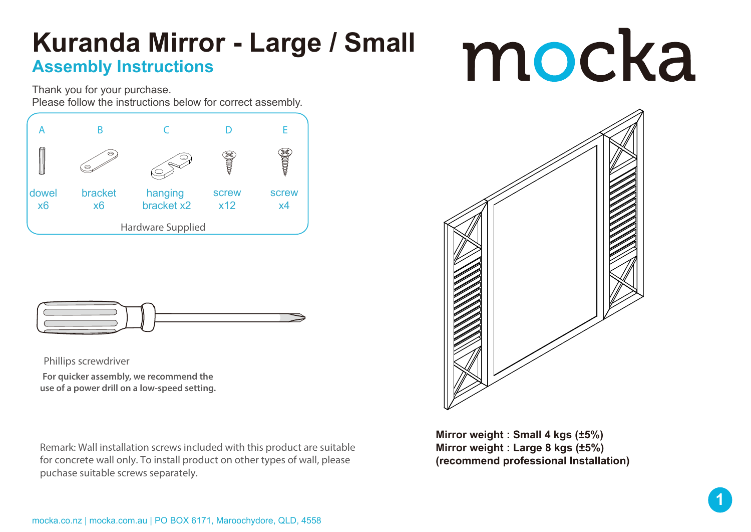## **Kuranda Mirror - Large / Small Assembly Instructions**

## mocka

Thank you for your purchase. Please follow the instructions below for correct assembly.





Phillips screwdriver

**For quicker assembly, we recommend the use of a power drill on a low-speed setting.**

Remark: Wall installation screws included with this product are suitable for concrete wall only. To install product on other types of wall, please puchase suitable screws separately.



**Mirror weight : Small 4 kgs (±5%) Mirror weight : Large 8 kgs (±5%) (recommend professional Installation)**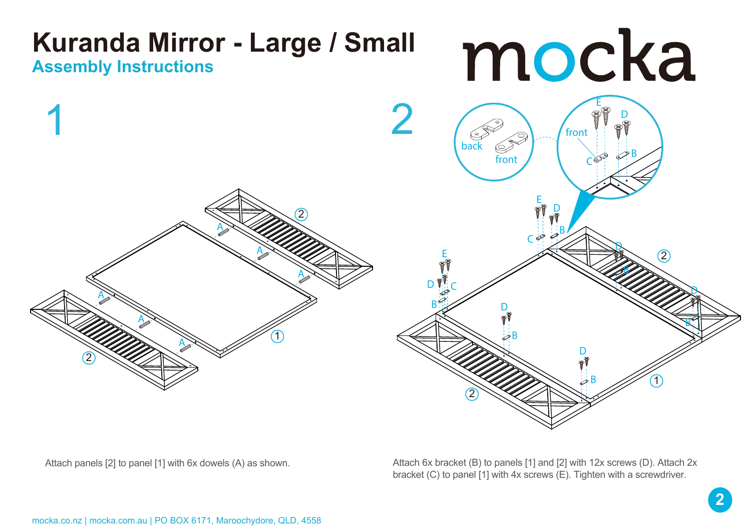

Attach panels [2] to panel [1] with 6x dowels (A) as shown. Attach 6x bracket (B) to panels [1] and [2] with 12x screws (D). Attach 2x bracket (C) to panel [1] with 4x screws (E). Tighten with a screwdriver.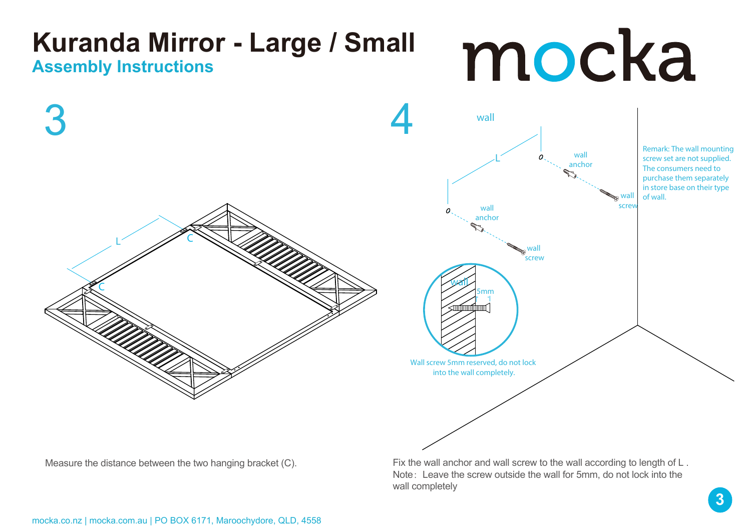

Measure the distance between the two hanging bracket (C). Fix the wall anchor and wall screw to the wall according to length of L. Note: Leave the screw outside the wall for 5mm, do not lock into the wall completely